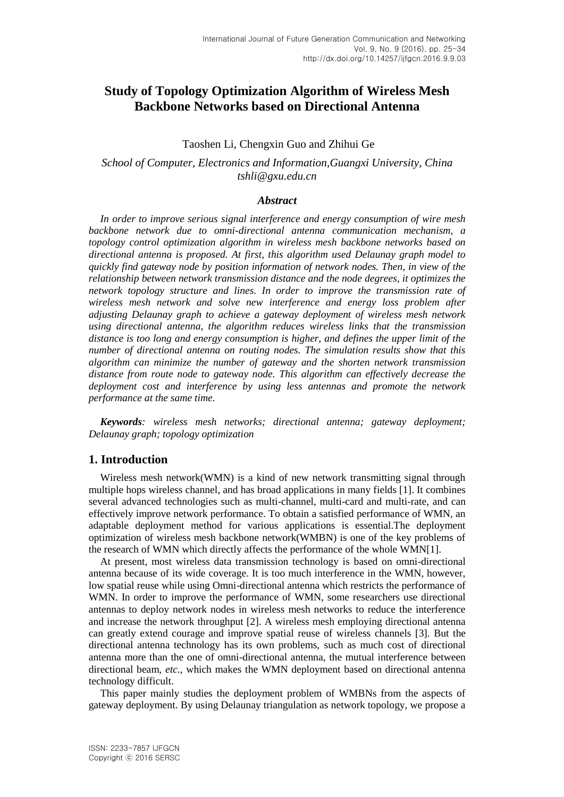# **Study of Topology Optimization Algorithm of Wireless Mesh Backbone Networks based on Directional Antenna**

### Taoshen Li, Chengxin Guo and Zhihui Ge

# *School of Computer, Electronics and Information,Guangxi University, China tshli@gxu.edu.cn*

### *Abstract*

*In order to improve serious signal interference and energy consumption of wire mesh backbone network due to omni-directional antenna communication mechanism, a topology control optimization algorithm in wireless mesh backbone networks based on directional antenna is proposed. At first, this algorithm used Delaunay graph model to quickly find gateway node by position information of network nodes. Then, in view of the relationship between network transmission distance and the node degrees, it optimizes the network topology structure and lines. In order to improve the transmission rate of wireless mesh network and solve new interference and energy loss problem after adjusting Delaunay graph to achieve a gateway deployment of wireless mesh network using directional antenna, the algorithm reduces wireless links that the transmission distance is too long and energy consumption is higher, and defines the upper limit of the number of directional antenna on routing nodes. The simulation results show that this algorithm can minimize the number of gateway and the shorten network transmission distance from route node to gateway node. This algorithm can effectively decrease the deployment cost and interference by using less antennas and promote the network performance at the same time.*

*Keywords: wireless mesh networks; directional antenna; gateway deployment; Delaunay graph; topology optimization*

# **1. Introduction**

Wireless mesh network(WMN) is a kind of new network transmitting signal through multiple hops wireless channel, and has broad applications in many fields [1]. It combines several advanced technologies such as multi-channel, multi-card and multi-rate, and can effectively improve network performance. To obtain a satisfied performance of WMN, an adaptable deployment method for various applications is essential.The deployment optimization of wireless mesh backbone network(WMBN) is one of the key problems of the research of WMN which directly affects the performance of the whole WMN[1].

At present, most wireless data transmission technology is based on omni-directional antenna because of its wide coverage. It is too much interference in the WMN, however, low spatial reuse while using Omni-directional antenna which restricts the performance of WMN. In order to improve the performance of WMN, some researchers use directional antennas to deploy network nodes in wireless mesh networks to reduce the interference and increase the network throughput [2]. A wireless mesh employing directional antenna can greatly extend courage and improve spatial reuse of wireless channels [3]. But the directional antenna technology has its own problems, such as much cost of directional antenna more than the one of omni-directional antenna, the mutual interference between directional beam, *etc*., which makes the WMN deployment based on directional antenna technology difficult.

This paper mainly studies the deployment problem of WMBNs from the aspects of gateway deployment. By using Delaunay triangulation as network topology, we propose a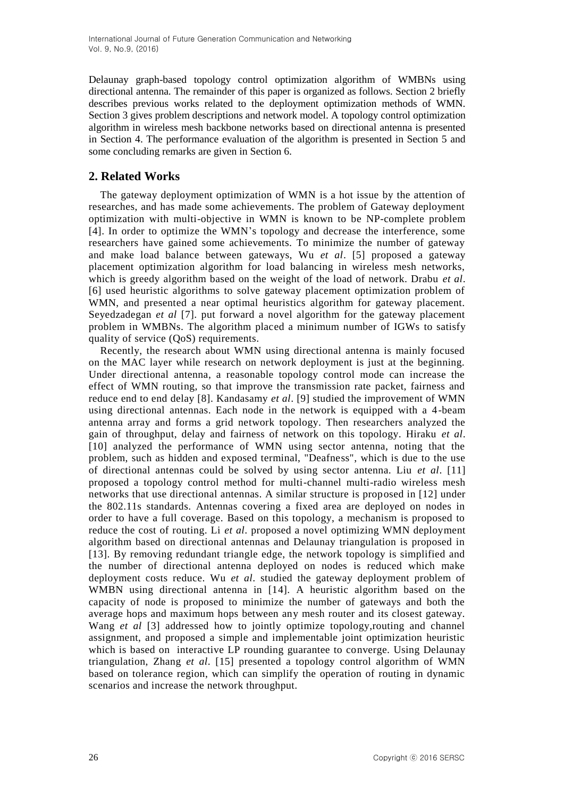Delaunay graph-based topology control optimization algorithm of WMBNs using directional antenna. The remainder of this paper is organized as follows. Section 2 briefly describes previous works related to the deployment optimization methods of WMN. Section 3 gives problem descriptions and network model. A topology control optimization algorithm in wireless mesh backbone networks based on directional antenna is presented in Section 4. The performance evaluation of the algorithm is presented in Section 5 and some concluding remarks are given in Section 6.

# **2. Related Works**

The gateway deployment optimization of WMN is a hot issue by the attention of researches, and has made some achievements. The problem of Gateway deployment optimization with multi-objective in WMN is known to be NP-complete problem [4]. In order to optimize the WMN's topology and decrease the interference, some researchers have gained some achievements. To minimize the number of gateway and make load balance between gateways, Wu *et al*. [5] proposed a gateway placement optimization algorithm for load balancing in wireless mesh networks, which is greedy algorithm based on the weight of the load of network. Drabu *et al*. [6] used heuristic algorithms to solve gateway placement optimization problem of WMN, and presented a near optimal heuristics algorithm for gateway placement. Seyedzadegan *et al* [7]. put forward a novel algorithm for the gateway placement problem in WMBNs. The algorithm placed a minimum number of IGWs to satisfy quality of service (QoS) requirements.

Recently, the research about WMN using directional antenna is mainly focused on the MAC layer while research on network deployment is just at the beginning. Under directional antenna, a reasonable topology control mode can increase the effect of WMN routing, so that improve the transmission rate packet, fairness and reduce end to end delay [8]. Kandasamy *et al*. [9] studied the improvement of WMN using directional antennas. Each node in the network is equipped with a 4-beam antenna array and forms a grid network topology. Then researchers analyzed the gain of throughput, delay and fairness of network on this topology. Hiraku *et al*. [10] analyzed the performance of WMN using sector antenna, noting that the problem, such as hidden and exposed terminal, "Deafness", which is due to the use of directional antennas could be solved by using sector antenna. Liu *et al*. [11] proposed a topology control method for multi-channel multi-radio wireless mesh networks that use directional antennas. A similar structure is proposed in [12] under the 802.11s standards. Antennas covering a fixed area are deployed on nodes in order to have a full coverage. Based on this topology, a mechanism is proposed to reduce the cost of routing. Li *et al*. proposed a novel optimizing WMN deployment algorithm based on directional antennas and Delaunay triangulation is proposed in [13]. By removing redundant triangle edge, the network topology is simplified and the number of directional antenna deployed on nodes is reduced which make deployment costs reduce. Wu *et al*. studied the gateway deployment problem of WMBN using directional antenna in [14]. A heuristic algorithm based on the capacity of node is proposed to minimize the number of gateways and both the average hops and maximum hops between any mesh router and its closest gateway. Wang *et al* [3] addressed how to jointly optimize topology,routing and channel assignment, and proposed a simple and implementable joint optimization heuristic which is based on interactive LP rounding guarantee to converge. Using Delaunay triangulation, Zhang *et al*. [15] presented a topology control algorithm of WMN based on tolerance region, which can simplify the operation of routing in dynamic scenarios and increase the network throughput.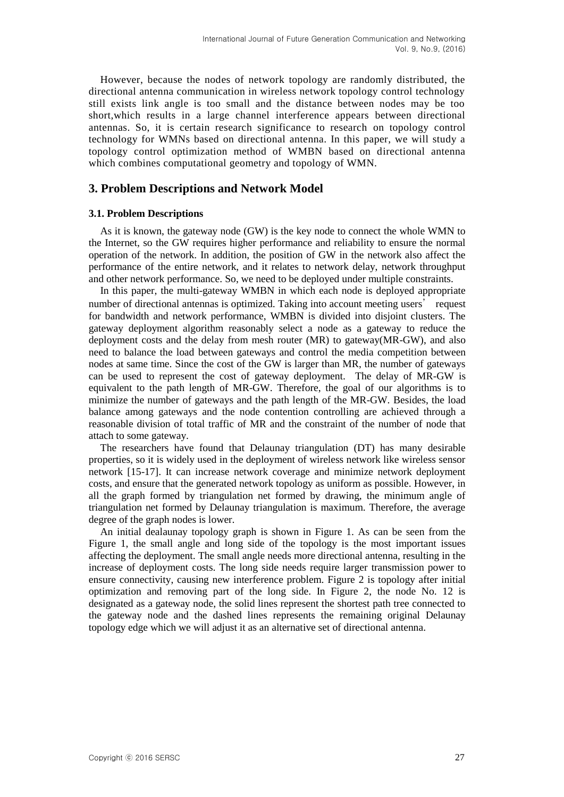However, because the nodes of network topology are randomly distributed, the directional antenna communication in wireless network topology control technology still exists link angle is too small and the distance between nodes may be too short,which results in a large channel interference appears between directional antennas. So, it is certain research significance to research on topology control technology for WMNs based on directional antenna. In this paper, we will study a topology control optimization method of WMBN based on directional antenna which combines computational geometry and topology of WMN.

# **3. Problem Descriptions and Network Model**

#### **3.1. Problem Descriptions**

As it is known, the gateway node (GW) is the key node to connect the whole WMN to the Internet, so the GW requires higher performance and reliability to ensure the normal operation of the network. In addition, the position of GW in the network also affect the performance of the entire network, and it relates to network delay, network throughput and other network performance. So, we need to be deployed under multiple constraints.

In this paper, the multi-gateway WMBN in which each node is deployed appropriate number of directional antennas is optimized. Taking into account meeting users' request for bandwidth and network performance, WMBN is divided into disjoint clusters. The gateway deployment algorithm reasonably select a node as a gateway to reduce the deployment costs and the delay from mesh router (MR) to gateway(MR-GW), and also need to balance the load between gateways and control the media competition between nodes at same time. Since the cost of the GW is larger than MR, the number of gateways can be used to represent the cost of gateway deployment. The delay of MR-GW is equivalent to the path length of MR-GW. Therefore, the goal of our algorithms is to minimize the number of gateways and the path length of the MR-GW. Besides, the load balance among gateways and the node contention controlling are achieved through a reasonable division of total traffic of MR and the constraint of the number of node that attach to some gateway.

The researchers have found that Delaunay triangulation (DT) has many desirable properties, so it is widely used in the deployment of wireless network like wireless sensor network [15-17]. It can increase network coverage and minimize network deployment costs, and ensure that the generated network topology as uniform as possible. However, in all the graph formed by triangulation net formed by drawing, the minimum angle of triangulation net formed by Delaunay triangulation is maximum. Therefore, the average degree of the graph nodes is lower.

An initial dealaunay topology graph is shown in Figure 1. As can be seen from the Figure 1, the small angle and long side of the topology is the most important issues affecting the deployment. The small angle needs more directional antenna, resulting in the increase of deployment costs. The long side needs require larger transmission power to ensure connectivity, causing new interference problem. Figure 2 is topology after initial optimization and removing part of the long side. In Figure 2, the node No. 12 is designated as a gateway node, the solid lines represent the shortest path tree connected to the gateway node and the dashed lines represents the remaining original Delaunay topology edge which we will adjust it as an alternative set of directional antenna.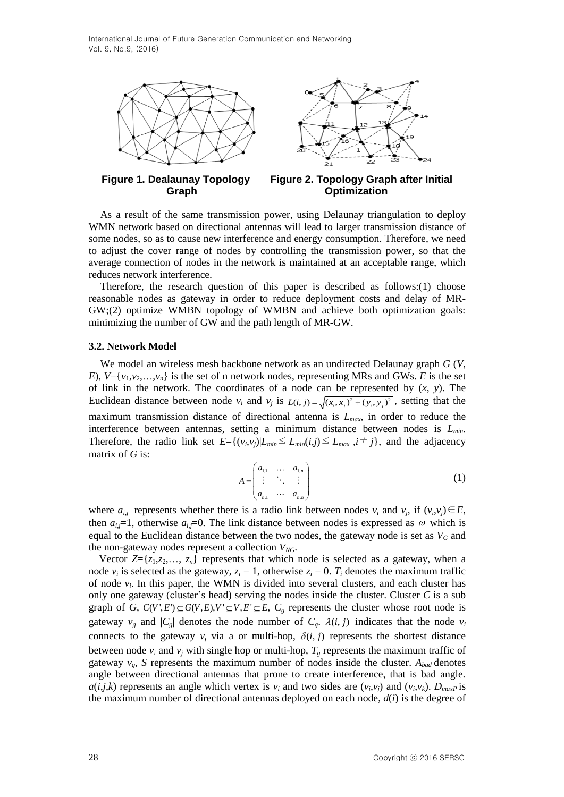

**Figure 1. Dealaunay Topology Figure 2. Topology Graph after Initial Graph Optimization**

As a result of the same transmission power, using Delaunay triangulation to deploy WMN network based on directional antennas will lead to larger transmission distance of some nodes, so as to cause new interference and energy consumption. Therefore, we need to adjust the cover range of nodes by controlling the transmission power, so that the average connection of nodes in the network is maintained at an acceptable range, which reduces network interference.

Therefore, the research question of this paper is described as follows: $(1)$  choose reasonable nodes as gateway in order to reduce deployment costs and delay of MR-GW;(2) optimize WMBN topology of WMBN and achieve both optimization goals: minimizing the number of GW and the path length of MR-GW.

#### **3.2. Network Model**

We model an wireless mesh backbone network as an undirected Delaunay graph *G* (*V*, *E*),  $V = \{v_1, v_2, \ldots, v_n\}$  is the set of n network nodes, representing MRs and GWs. *E* is the set of link in the network. The coordinates of a node can be represented by (*x*, *y*). The Euclidean distance between node  $v_i$  and  $v_j$  is  $L(i, j) = \sqrt{(x_i, x_j)^2 + (y_i, y_j)^2}$ , setting that the maximum transmission distance of directional antenna is *Lmax*, in order to reduce the interference between antennas, setting a minimum distance between nodes is *Lmin*. Therefore, the radio link set  $E = \{(v_i, v_j) | L_{min} \le L_{min}(i,j) \le L_{max}, i \ne j\}$ , and the adjacency matrix of *G* is:

$$
A = \begin{pmatrix} a_{1,1} & \dots & a_{1,n} \\ \vdots & \ddots & \vdots \\ a_{n,1} & \dots & a_{n,n} \end{pmatrix}
$$
 (1)

where  $a_{i,j}$  represents whether there is a radio link between nodes  $v_i$  and  $v_j$ , if  $(v_i, v_j) \in E$ , then  $a_{i,j}=1$ , otherwise  $a_{i,j}=0$ . The link distance between nodes is expressed as  $\omega$  which is equal to the Euclidean distance between the two nodes, the gateway node is set as  $V_G$  and the non-gateway nodes represent a collection *VNG*.

Vector  $Z = \{z_1, z_2, \ldots, z_n\}$  represents that which node is selected as a gateway, when a node  $v_i$  is selected as the gateway,  $z_i = 1$ , otherwise  $z_i = 0$ .  $T_i$  denotes the maximum traffic of node  $v_i$ . In this paper, the WMN is divided into several clusters, and each cluster has only one gateway (cluster's head) serving the nodes inside the cluster. Cluster *C* is a sub only one gateway (cluster s nead) serving the nodes inside the cluster. Cluster C is a sub-<br>graph of *G*,  $C(V', E') \subseteq G(V, E), V' \subseteq V, E' \subseteq E, C_g$  represents the cluster whose root node is gateway  $v_g$  and  $|C_g|$  denotes the node number of  $C_g$ .  $\lambda(i, j)$  indicates that the node  $v_i$ connects to the gateway  $v_j$  via a or multi-hop,  $\delta(i, j)$  represents the shortest distance between node  $v_i$  and  $v_j$  with single hop or multi-hop,  $T_g$  represents the maximum traffic of gateway  $v_g$ , *S* represents the maximum number of nodes inside the cluster.  $A_{bad}$  denotes angle between directional antennas that prone to create interference, that is bad angle. *a*(*i*,*j*,*k*) represents an angle which vertex is  $v_i$  and two sides are  $(v_i, v_j)$  and  $(v_i, v_k)$ .  $D_{maxP}$  is the maximum number of directional antennas deployed on each node, *d*(*i*) is the degree of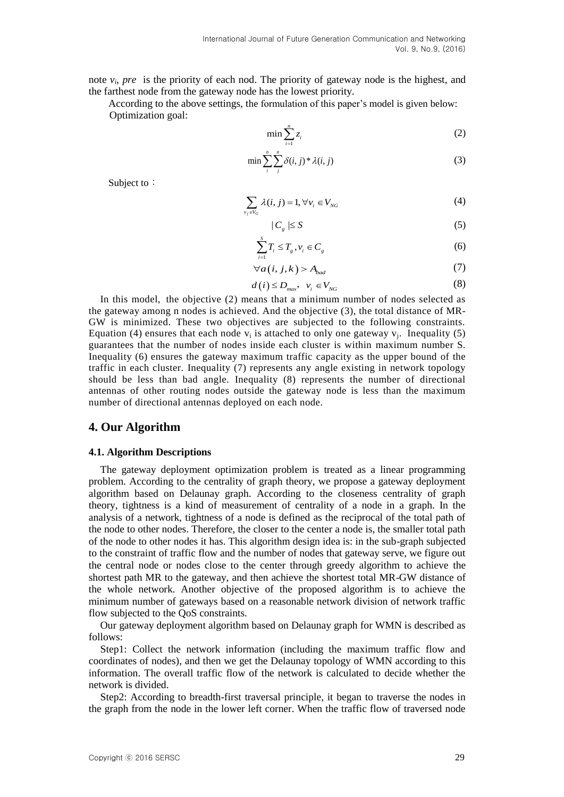note *v<sup>i</sup>* , *pre* is the priority of each nod. The priority of gateway node is the highest, and the farthest node from the gateway node has the lowest priority.

According to the above settings, the formulation of this paper's model is given below: Optimization goal:

$$
\min \sum_{i=1}^{n} z_i \tag{2}
$$

$$
\min \sum_{i}^{n} \sum_{j}^{n} \delta(i, j)^* \lambda(i, j) \tag{3}
$$

Subject to:

$$
\sum_{\nu_j \in V_G} \lambda(i,j) = 1, \forall \nu_i \in V_{NG}
$$
 (4)

$$
|C_{s}| \leq S \tag{5}
$$

$$
\sum_{i=1}^{S} T_i \le T_g, v_i \in C_g \tag{6}
$$

$$
\forall a(i,j,k) > A_{bad} \tag{7}
$$

$$
d(i) \le D_{\max}, \quad v_i \in V_{NG}
$$
 (8)

In this model, the objective (2) means that a minimum number of nodes selected as the gateway among n nodes is achieved. And the objective (3), the total distance of MR-GW is minimized. These two objectives are subjected to the following constraints. Equation (4) ensures that each node  $v_i$  is attached to only one gateway  $v_j$ . Inequality (5) guarantees that the number of nodes inside each cluster is within maximum number S. Inequality (6) ensures the gateway maximum traffic capacity as the upper bound of the traffic in each cluster. Inequality (7) represents any angle existing in network topology should be less than bad angle. Inequality (8) represents the number of directional antennas of other routing nodes outside the gateway node is less than the maximum number of directional antennas deployed on each node.

### **4. Our Algorithm**

#### **4.1. Algorithm Descriptions**

The gateway deployment optimization problem is treated as a linear programming problem. According to the centrality of graph theory, we propose a gateway deployment algorithm based on Delaunay graph. According to the closeness centrality of graph theory, tightness is a kind of measurement of centrality of a node in a graph. In the analysis of a network, tightness of a node is defined as the reciprocal of the total path of the node to other nodes. Therefore, the closer to the center a node is, the smaller total path of the node to other nodes it has. This algorithm design idea is: in the sub-graph subjected to the constraint of traffic flow and the number of nodes that gateway serve, we figure out the central node or nodes close to the center through greedy algorithm to achieve the shortest path MR to the gateway, and then achieve the shortest total MR-GW distance of the whole network. Another objective of the proposed algorithm is to achieve the minimum number of gateways based on a reasonable network division of network traffic flow subjected to the QoS constraints.

Our gateway deployment algorithm based on Delaunay graph for WMN is described as follows:

Step1: Collect the network information (including the maximum traffic flow and coordinates of nodes), and then we get the Delaunay topology of WMN according to this information. The overall traffic flow of the network is calculated to decide whether the network is divided.

Step2: According to breadth-first traversal principle, it began to traverse the nodes in the graph from the node in the lower left corner. When the traffic flow of traversed node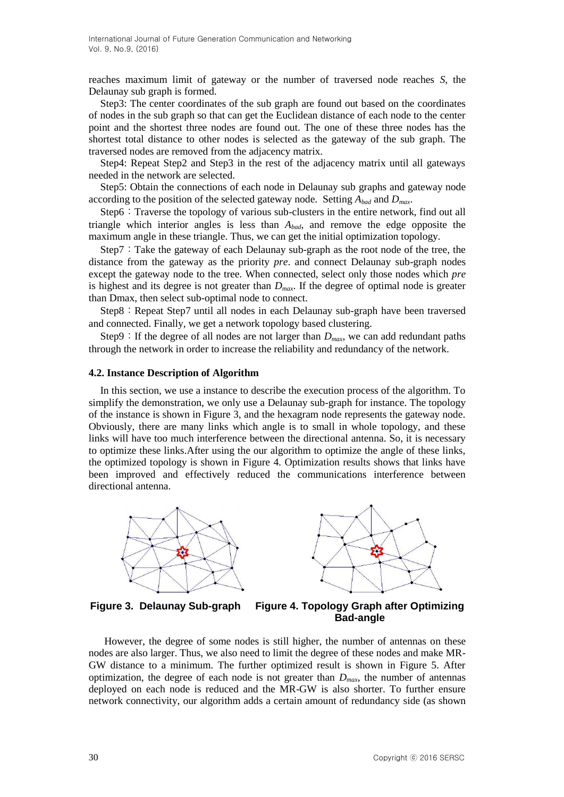reaches maximum limit of gateway or the number of traversed node reaches *S*, the Delaunay sub graph is formed.

Step3: The center coordinates of the sub graph are found out based on the coordinates of nodes in the sub graph so that can get the Euclidean distance of each node to the center point and the shortest three nodes are found out. The one of these three nodes has the shortest total distance to other nodes is selected as the gateway of the sub graph. The traversed nodes are removed from the adjacency matrix.

Step4: Repeat Step2 and Step3 in the rest of the adjacency matrix until all gateways needed in the network are selected.

Step5: Obtain the connections of each node in Delaunay sub graphs and gateway node according to the position of the selected gateway node. Setting *Abad* and *Dmax*.

Step6: Traverse the topology of various sub-clusters in the entire network, find out all triangle which interior angles is less than *Abad*, and remove the edge opposite the maximum angle in these triangle. Thus, we can get the initial optimization topology.

Step7: Take the gateway of each Delaunay sub-graph as the root node of the tree, the distance from the gateway as the priority *pre*. and connect Delaunay sub-graph nodes except the gateway node to the tree. When connected, select only those nodes which *pre* is highest and its degree is not greater than *Dmax*. If the degree of optimal node is greater than Dmax, then select sub-optimal node to connect.

Step8: Repeat Step7 until all nodes in each Delaunay sub-graph have been traversed and connected. Finally, we get a network topology based clustering.

Step9: If the degree of all nodes are not larger than  $D_{max}$ , we can add redundant paths through the network in order to increase the reliability and redundancy of the network.

#### **4.2. Instance Description of Algorithm**

In this section, we use a instance to describe the execution process of the algorithm. To simplify the demonstration, we only use a Delaunay sub-graph for instance. The topology of the instance is shown in Figure 3, and the hexagram node represents the gateway node. Obviously, there are many links which angle is to small in whole topology, and these links will have too much interference between the directional antenna. So, it is necessary to optimize these links.After using the our algorithm to optimize the angle of these links, the optimized topology is shown in Figure 4. Optimization results shows that links have been improved and effectively reduced the communications interference between directional antenna.





**Figure 3. Delaunay Sub-graph Figure 4. Topology Graph after Optimizing Bad-angle**

However, the degree of some nodes is still higher, the number of antennas on these nodes are also larger. Thus, we also need to limit the degree of these nodes and make MR-GW distance to a minimum. The further optimized result is shown in Figure 5. After optimization, the degree of each node is not greater than *Dmax*, the number of antennas deployed on each node is reduced and the MR-GW is also shorter. To further ensure network connectivity, our algorithm adds a certain amount of redundancy side (as shown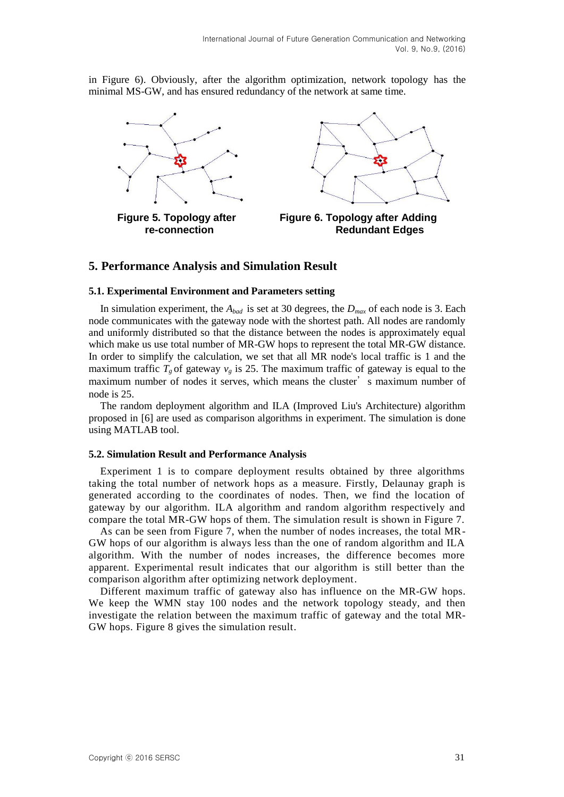in Figure 6). Obviously, after the algorithm optimization, network topology has the minimal MS-GW, and has ensured redundancy of the network at same time.



# **5. Performance Analysis and Simulation Result**

#### **5.1. Experimental Environment and Parameters setting**

In simulation experiment, the *Abad* is set at 30 degrees, the *Dmax* of each node is 3. Each node communicates with the gateway node with the shortest path. All nodes are randomly and uniformly distributed so that the distance between the nodes is approximately equal which make us use total number of MR-GW hops to represent the total MR-GW distance. In order to simplify the calculation, we set that all MR node's local traffic is 1 and the maximum traffic  $T_g$  of gateway  $v_g$  is 25. The maximum traffic of gateway is equal to the maximum number of nodes it serves, which means the cluster' s maximum number of node is 25.

The random deployment algorithm and ILA (Improved Liu's Architecture) algorithm proposed in [6] are used as comparison algorithms in experiment. The simulation is done using MATLAB tool.

#### **5.2. Simulation Result and Performance Analysis**

Experiment 1 is to compare deployment results obtained by three algorithms taking the total number of network hops as a measure. Firstly, Delaunay graph is generated according to the coordinates of nodes. Then, we find the location of gateway by our algorithm. ILA algorithm and random algorithm respectively and compare the total MR-GW hops of them. The simulation result is shown in Figure 7.

As can be seen from Figure 7, when the number of nodes increases, the total MR-GW hops of our algorithm is always less than the one of random algorithm and ILA algorithm. With the number of nodes increases, the difference becomes more apparent. Experimental result indicates that our algorithm is still better than the comparison algorithm after optimizing network deployment.

Different maximum traffic of gateway also has influence on the MR-GW hops. We keep the WMN stay 100 nodes and the network topology steady, and then investigate the relation between the maximum traffic of gateway and the total MR-GW hops. Figure 8 gives the simulation result.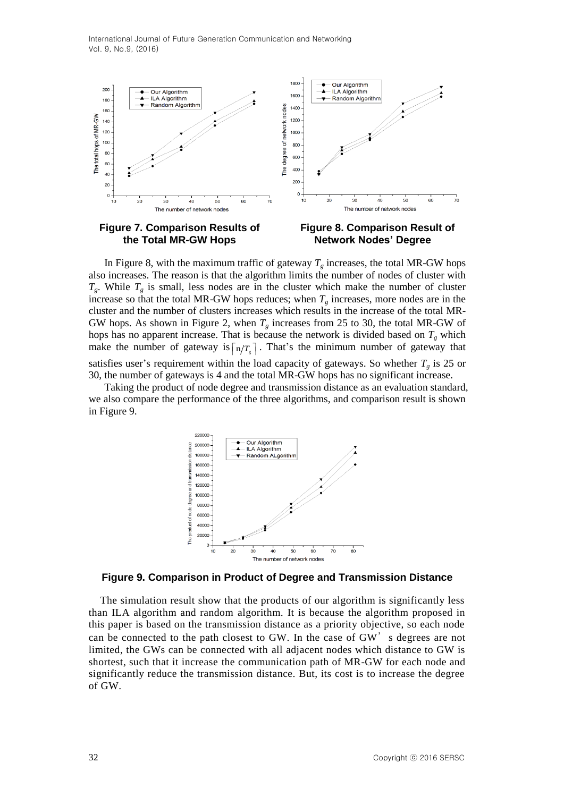

the Total MR-GW Hops Network Nodes' Degree

**Figure 7. Comparison Results of Figure 8. Comparison Result of** 

In Figure 8, with the maximum traffic of gateway  $T_g$  increases, the total MR-GW hops also increases. The reason is that the algorithm limits the number of nodes of cluster with  $T_g$ . While  $T_g$  is small, less nodes are in the cluster which make the number of cluster increase so that the total MR-GW hops reduces; when  $T_g$  increases, more nodes are in the cluster and the number of clusters increases which results in the increase of the total MR-GW hops. As shown in Figure 2, when  $T_g$  increases from 25 to 30, the total MR-GW of hops has no apparent increase. That is because the network is divided based on  $T_g$  which make the number of gateway is  $\lceil n/T_s \rceil$ . That's the minimum number of gateway that satisfies user's requirement within the load capacity of gateways. So whether  $T_g$  is 25 or 30, the number of gateways is 4 and the total MR-GW hops has no significant increase.

Taking the product of node degree and transmission distance as an evaluation standard, we also compare the performance of the three algorithms, and comparison result is shown in Figure 9.



#### **Figure 9. Comparison in Product of Degree and Transmission Distance**

The simulation result show that the products of our algorithm is significantly less than ILA algorithm and random algorithm. It is because the algorithm proposed in this paper is based on the transmission distance as a priority objective, so each node can be connected to the path closest to GW. In the case of GW' s degrees are not limited, the GWs can be connected with all adjacent nodes which distance to GW is shortest, such that it increase the communication path of MR-GW for each node and significantly reduce the transmission distance. But, its cost is to increase the degree of GW.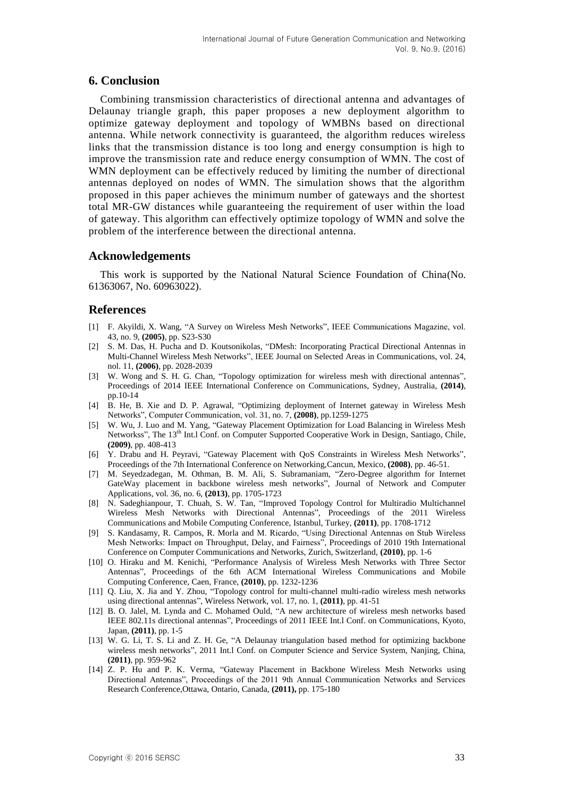# **6. Conclusion**

Combining transmission characteristics of directional antenna and advantages of Delaunay triangle graph, this paper proposes a new deployment algorithm to optimize gateway deployment and topology of WMBNs based on directional antenna. While network connectivity is guaranteed, the algorithm reduces wireless links that the transmission distance is too long and energy consumption is high to improve the transmission rate and reduce energy consumption of WMN. The cost of WMN deployment can be effectively reduced by limiting the number of directional antennas deployed on nodes of WMN. The simulation shows that the algorithm proposed in this paper achieves the minimum number of gateways and the shortest total MR-GW distances while guaranteeing the requirement of user within the load of gateway. This algorithm can effectively optimize topology of WMN and solve the problem of the interference between the directional antenna.

### **Acknowledgements**

This work is supported by the National Natural Science Foundation of China(No. 61363067, No. 60963022).

### **References**

- [1] F. Akyildi, X. Wang, "A Survey on Wireless Mesh Networks", IEEE Communications Magazine, vol. 43, no. 9, **(2005)**, pp. S23-S30
- [2] S. M. Das, H. Pucha and D. Koutsonikolas, "DMesh: Incorporating Practical Directional Antennas in Multi-Channel Wireless Mesh Networks", IEEE Journal on Selected Areas in Communications, vol. 24, nol. 11, **(2006)**, pp. 2028-2039
- [3] W. Wong and S. H. G. Chan, "Topology optimization for wireless mesh with directional antennas", Proceedings of 2014 IEEE International Conference on Communications, Sydney, Australia, **(2014)**, pp.10-14
- [4] B. He, B. Xie and D. P. Agrawal, "Optimizing deployment of Internet gateway in Wireless Mesh Networks", Computer Communication, vol. 31, no. 7, **(2008)**, pp.1259-1275
- [5] W. Wu, J. Luo and M. Yang, "Gateway Placement Optimization for Load Balancing in Wireless Mesh Networkss", The 13<sup>th</sup> Int.l Conf. on Computer Supported Cooperative Work in Design, Santiago, Chile, **(2009)**, pp. 408-413
- [6] Y. Drabu and H. Peyravi, "Gateway Placement with QoS Constraints in Wireless Mesh Networks", Proceedings of the 7th International Conference on Networking,Cancun, Mexico, **(2008)**, pp. 46-51.
- [7] M. Seyedzadegan, M. Othman, B. M. Ali, S. Subramaniam, "Zero-Degree algorithm for Internet GateWay placement in backbone wireless mesh networks", Journal of Network and Computer Applications, vol. 36, no. 6, **(2013)**, pp. 1705-1723
- [8] N. Sadeghianpour, T. Chuah, S. W. Tan, "Improved Topology Control for Multiradio Multichannel Wireless Mesh Networks with Directional Antennas", Proceedings of the 2011 Wireless Communications and Mobile Computing Conference, Istanbul, Turkey, **(2011)**, pp. 1708-1712
- [9] S. Kandasamy, R. Campos, R. Morla and M. Ricardo, "Using Directional Antennas on Stub Wireless Mesh Networks: Impact on Throughput, Delay, and Fairness", Proceedings of 2010 19th International Conference on Computer Communications and Networks, Zurich, Switzerland, **(2010)**, pp. 1-6
- [10] O. Hiraku and M. Kenichi, "Performance Analysis of Wireless Mesh Networks with Three Sector Antennas", Proceedings of the 6th ACM International Wireless Communications and Mobile Computing Conference, Caen, France, **(2010)**, pp. 1232-1236
- [11] Q. Liu, X. Jia and Y. Zhou, "Topology control for multi-channel multi-radio wireless mesh networks using directional antennas", Wireless Network, vol. 17, no. 1, **(2011)**, pp. 41-51
- [12] B. O. Jalel, M. Lynda and C. Mohamed Ould, "A new architecture of wireless mesh networks based IEEE 802.11s directional antennas", Proceedings of 2011 IEEE Int.l Conf. on Communications, Kyoto, Japan, **(2011)**, pp. 1-5
- [13] W. G. Li, T. S. Li and Z. H. Ge, "A Delaunay triangulation based method for optimizing backbone wireless mesh networks", 2011 Int.l Conf. on Computer Science and Service System, Nanjing, China, **(2011)**, pp. 959-962
- [14] Z. P. Hu and P. K. Verma, "Gateway Placement in Backbone Wireless Mesh Networks using Directional Antennas", Proceedings of the 2011 9th Annual Communication Networks and Services Research Conference,Ottawa, Ontario, Canada, **(2011),** pp. 175-180